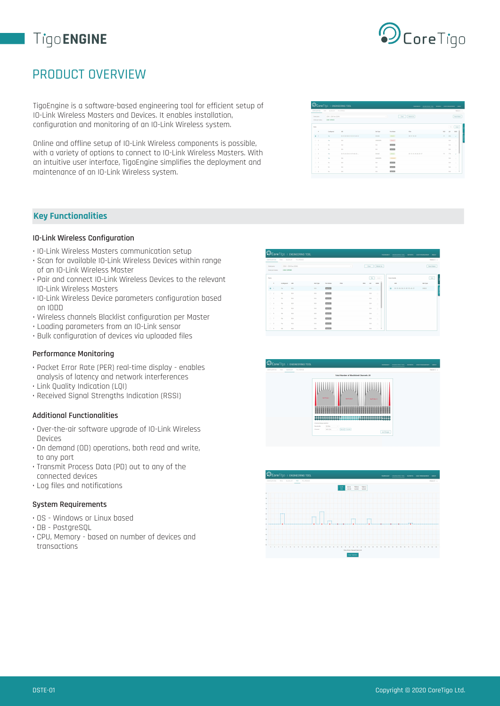# **ENGINE**



# PRODUCT OVERVIEW

TigoEngine is a software-based engineering tool for efficient setup of IO-Link Wireless Masters and Devices. It enables installation, configuration and monitoring of an IO-Link Wireless system.

Online and offline setup of IO-Link Wireless components is possible, with a variety of options to connect to IO-Link Wireless Masters. With an intuitive user interface, TigoEngine simplifies the deployment and maintenance of an IO-Link Wireless system.

| <b>CONFIDENTOS</b>                | 723 | <b>BADGET</b>                          | FW UPORADE                     |                   |                   |                 |               |             | <b>NUMBER</b>      |
|-----------------------------------|-----|----------------------------------------|--------------------------------|-------------------|-------------------|-----------------|---------------|-------------|--------------------|
| Serial some<br>Denisd and status: |     | COMP., COM PAY SOME III<br>COAN OFFICE |                                |                   |                   | Close Editorità |               |             | <b>Base Market</b> |
| Foto                              |     |                                        |                                |                   |                   |                 |               | Par 1       | Unpoint            |
| $\overline{z}$                    |     | Configured                             | <b>AND</b>                     | Star Type         | <b>Brun Moule</b> | <b>King</b>     | <b>MA</b>     | 99          | 1008               |
| ـــ<br>$8 - 1$                    |     | $^{10}$                                | 2010/12/20 00:01 09:01 00:07   | <b>DOUBLE</b>     | cesses.           | 28109129150     | $\rightarrow$ | ATV         | $\sim$             |
| $O-4$                             |     | <b>Text</b>                            | A/A                            | <b>UNIVERSITY</b> | COMATE!           |                 |               | 75.7        | V.                 |
| $O-1$                             |     | Mr.                                    | N/A                            | MA.               | <b>BATH</b>       |                 |               | 76.76       | Q.                 |
| $-0.4$                            |     | his.                                   | <b>AN</b>                      | <b>MA</b>         | <b>BACINE</b>     |                 |               | <b>Kill</b> | $\sim$             |
| 0.3                               |     | $\mathbf{u}$                           | 05:43 (06:00:01) 60:AB/AB (ii) | 0006              | cesses.           | 近市国中地域(英)区      | $\mathcal{N}$ | T2%         | $\sim$             |
| $0 - 6$                           |     | Tel.                                   | A-14                           | UNIVERSITY        | <b>COMMANDE</b>   |                 |               | PLN:        | $\overline{L}$     |
| O <sub>T</sub>                    |     | Mr.                                    | 5.74                           | NA                | <b>INCORP</b>     |                 |               | 75.76       | $\lambda$          |
| $O-4$                             |     | <b>The</b>                             | A/A                            | NV.               | <b>BASIN</b>      |                 |               | 26.76       | $\sim$             |
| 0.9                               |     | his.                                   | <b>SSI</b>                     | MA.               | <b>BATH</b>       |                 |               |             | NN 31 H            |

# **Key Functionalities**

### **IO-Link Wireless Configuration**

- IO-Link Wireless Masters communication setup
- Scan for available IO-Link Wireless Devices within range of an IO-Link Wireless Master
- Pair and connect IO-Link Wireless Devices to the relevant IO-Link Wireless Masters
- IO-Link Wireless Device parameters configuration based on IODD
- Wireless channels Blacklist configuration per Master
- Loading parameters from an IO-Link sensor
- Bulk configuration of devices via uploaded files

#### **Performance Monitoring**

- Packet Error Rate (PER) real-time display enables analysis of latency and network interferences
- Link Quality Indication (LQI)
- Received Signal Strengths Indication (RSSI)

### **Additional Functionalities**

- Over-the-air software upgrade of IO-Link Wireless Devices
- On demand (OD) operations, both read and write, to any port
- Transmit Process Data (PD) out to any of the connected devices
- Log files and notifications

### **System Requirements**

- OS Windows or Linux based
- DB PostgreSQL
- CPU, Memory based on number of devices and transactions

|                | DOM/SURATION                      | <b>BANGET</b><br>POST. | PEUROMEE                |          |               |      |    |     |            |                   |              |                            | MODE D.W.          |
|----------------|-----------------------------------|------------------------|-------------------------|----------|---------------|------|----|-----|------------|-------------------|--------------|----------------------------|--------------------|
|                | Serial ports<br>Smid port status: | COM1 OPENED            | COMIN - COM Fort (COMP) |          |               |      | w. |     | Close 1    | <b>Februarie:</b> |              |                            | <b>Food Morter</b> |
| Parts.         |                                   |                        |                         |          |               |      |    |     | Pair:      | Ungain            | Scan require |                            | 500                |
|                | $\cdot$                           | Configured             | <b>UD</b>               | Sot Type | Port Mode     | POIn |    | 859 | <b>LCC</b> | lopp.             | 382          |                            | Six Type           |
| $40 - 1$       |                                   | $^{36}$                | MX                      | N.W.     | <b>BATM</b>   |      |    |     | MA:        | $\Delta L$        | œ.           | 021F210013010519F1FE1621CF | snos.              |
| $O-2$          |                                   | <b>Abr</b>             | 34.3                    | NW.      | <b>BATM</b>   |      |    |     | M/N        | $\sim 10$         |              |                            |                    |
| $O-8$          |                                   | Air.                   | MA                      | N/A      | <b>AKTV</b>   |      |    |     | N/3        | $\sim$            |              |                            |                    |
| $O-4$          |                                   | $_{\rm{Mn}}$           | M/R                     | N.V.     | <b>AKTK</b>   |      |    |     | MA         | $\sim$            |              |                            |                    |
| $0-8$          |                                   | 52                     | MA:                     | KV.      | <b>INCINE</b> |      |    |     | 16.76      | $\Delta$          |              |                            |                    |
| O <sub>6</sub> |                                   | $50 - 100$             | MA                      | N.W.     | <b>INCINE</b> |      |    |     | MA         | $\sim$            |              |                            |                    |
|                | O <sub>2</sub>                    | 50                     | M/A                     | HA.      | <b>BACTOL</b> |      |    |     | MA:        | $\sim$            |              |                            |                    |
|                | O.8                               | $^{16}$                | MA                      | N.W.     | <b>BACTOS</b> |      |    |     | 1676       | $\sim$            |              |                            |                    |
| $O-2$          |                                   | Abr                    | 54.3                    | 26.95    | <b>DAYOUT</b> |      |    |     | 14.31      | U.S. 1980         |              |                            |                    |

| WHACKS.<br><b>With Club</b><br>WARTON 11<br>Channel Sanja selection<br><b>Bandwidth</b><br>2010/01<br>$\sim$<br><b>Ferrit English</b><br>Chevrolet<br>WA OH<br>$\sim$<br><b><i><u><i><u><b>instruments</b></u></i></u></i></b> | CONFIDENTIA FOR BADGIET FAURERACE |                                          |  | MOZR'O v |
|--------------------------------------------------------------------------------------------------------------------------------------------------------------------------------------------------------------------------------|-----------------------------------|------------------------------------------|--|----------|
|                                                                                                                                                                                                                                |                                   | Total Number of Blackfisted Channels: 20 |  |          |
|                                                                                                                                                                                                                                |                                   |                                          |  |          |
|                                                                                                                                                                                                                                |                                   |                                          |  |          |
|                                                                                                                                                                                                                                |                                   |                                          |  |          |